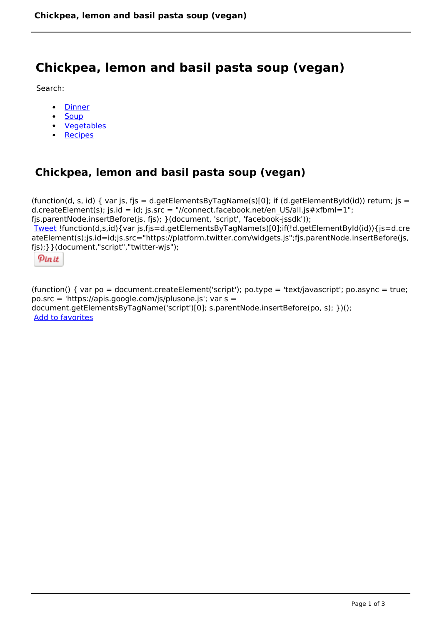# **Chickpea, lemon and basil pasta soup (vegan)**

Search:

- **[Dinner](https://www.naturalhealthmag.com.au/nourish/dinner-ideas)**  $\bullet$
- **[Soup](https://www.naturalhealthmag.com.au/nourish/soup)**  $\bullet$
- [Vegetables](https://www.naturalhealthmag.com.au/nourish/veg)
- [Recipes](https://www.naturalhealthmag.com.au/nourish/recipes)

# **Chickpea, lemon and basil pasta soup (vegan)**

(function(d, s, id) { var js, fjs = d.getElementsByTagName(s)[0]; if (d.getElementById(id)) return; js = d.createElement(s); js.id = id; js.src = "//connect.facebook.net/en\_US/all.js#xfbml=1"; fjs.parentNode.insertBefore(js, fjs); }(document, 'script', 'facebook-jssdk')); [Tweet](https://twitter.com/share) !function(d,s,id){var js,fjs=d.getElementsByTagName(s)[0];if(!d.getElementById(id)){js=d.cre ateElement(s);js.id=id;js.src="https://platform.twitter.com/widgets.js";fjs.parentNode.insertBefore(js, fjs);}}(document,"script","twitter-wjs");

Pinit

(function() { var po = document.createElement('script'); po.type = 'text/javascript'; po.async = true; po.src = 'https://apis.google.com/js/plusone.js'; var s = document.getElementsByTagName('script')[0]; s.parentNode.insertBefore(po, s); })(); Add to favorites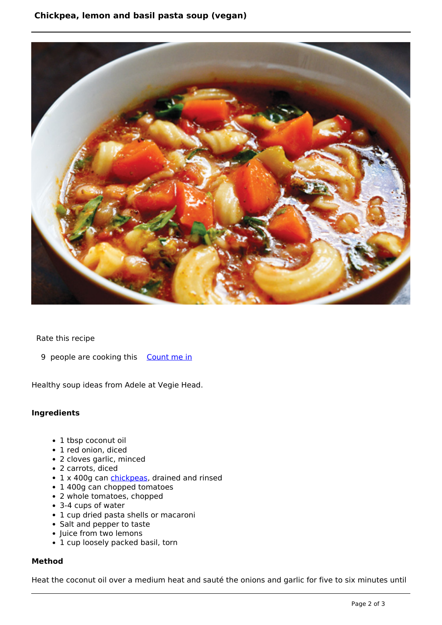## **Chickpea, lemon and basil pasta soup (vegan)**



Rate this recipe

9 people are cooking this [Count me in](https://www.naturalhealthmag.com.au/flag/flag/favorites/979?destination=printpdf%2F979&token=8b30440f985004a5a2a9f593f4dbaac0)

Healthy soup ideas from Adele at Vegie Head.

### **Ingredients**

- 1 tbsp coconut oil
- 1 red onion, diced
- 2 cloves garlic, minced
- 2 carrots, diced
- 1 x 400g can [chickpeas,](http://www.naturalhealthmag.com.au/nourish/pumpkin-and-chickpea-tagine) drained and rinsed
- 1 400g can chopped tomatoes
- 2 whole tomatoes, chopped
- 3-4 cups of water
- 1 cup dried pasta shells or macaroni
- Salt and pepper to taste
- Juice from two lemons
- 1 cup loosely packed basil, torn

#### **Method**

Heat the coconut oil over a medium heat and sauté the onions and garlic for five to six minutes until